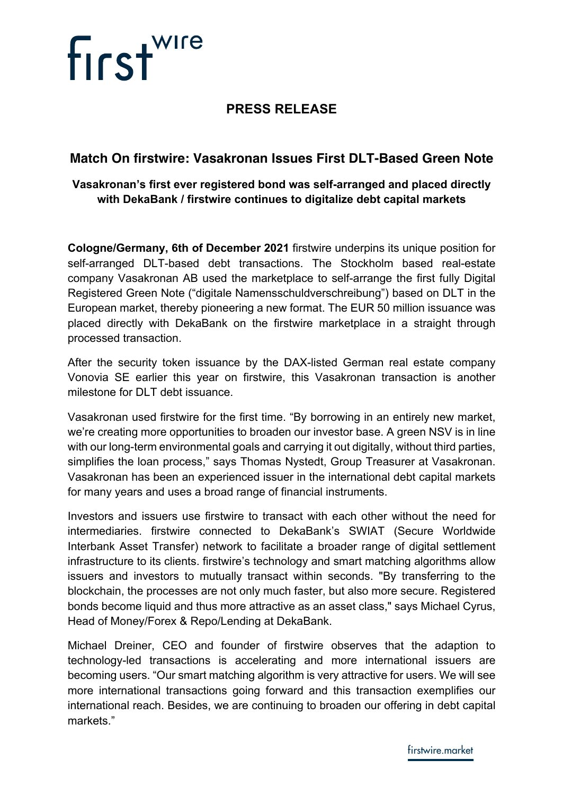# **PRESS RELEASE**

## **Match On firstwire: Vasakronan Issues First DLT-Based Green Note**

### **Vasakronan's first ever registered bond was self-arranged and placed directly with DekaBank / firstwire continues to digitalize debt capital markets**

**Cologne/Germany, 6th of December 2021** firstwire underpins its unique position for self-arranged DLT-based debt transactions. The Stockholm based real-estate company Vasakronan AB used the marketplace to self-arrange the first fully Digital Registered Green Note ("digitale Namensschuldverschreibung") based on DLT in the European market, thereby pioneering a new format. The EUR 50 million issuance was placed directly with DekaBank on the firstwire marketplace in a straight through processed transaction.

After the security token issuance by the DAX-listed German real estate company Vonovia SE earlier this year on firstwire, this Vasakronan transaction is another milestone for DLT debt issuance.

Vasakronan used firstwire for the first time. "By borrowing in an entirely new market, we're creating more opportunities to broaden our investor base. A green NSV is in line with our long-term environmental goals and carrying it out digitally, without third parties, simplifies the loan process," says Thomas Nystedt, Group Treasurer at Vasakronan. Vasakronan has been an experienced issuer in the international debt capital markets for many years and uses a broad range of financial instruments.

Investors and issuers use firstwire to transact with each other without the need for intermediaries. firstwire connected to DekaBank's SWIAT (Secure Worldwide Interbank Asset Transfer) network to facilitate a broader range of digital settlement infrastructure to its clients. firstwire's technology and smart matching algorithms allow issuers and investors to mutually transact within seconds. "By transferring to the blockchain, the processes are not only much faster, but also more secure. Registered bonds become liquid and thus more attractive as an asset class," says Michael Cyrus, Head of Money/Forex & Repo/Lending at DekaBank.

Michael Dreiner, CEO and founder of firstwire observes that the adaption to technology-led transactions is accelerating and more international issuers are becoming users. "Our smart matching algorithm is very attractive for users. We will see more international transactions going forward and this transaction exemplifies our international reach. Besides, we are continuing to broaden our offering in debt capital markets."